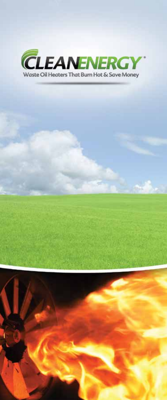

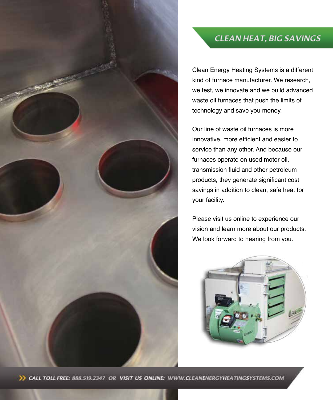

# **CLEAN HEAT, BIG SAVINGS**

Clean Energy Heating Systems is a different kind of furnace manufacturer. We research, we test, we innovate and we build advanced waste oil furnaces that push the limits of technology and save you money.

Our line of waste oil furnaces is more innovative, more efficient and easier to service than any other. And because our furnaces operate on used motor oil, transmission fluid and other petroleum products, they generate significant cost savings in addition to clean, safe heat for your facility.

Please visit us online to experience our vision and learn more about our products. We look forward to hearing from you.



>> CALL TOLL FREE: 888.519.2347 OR VISIT US ONLINE: WWW.CLEANENERGYHEATINGSYSTEMS.COM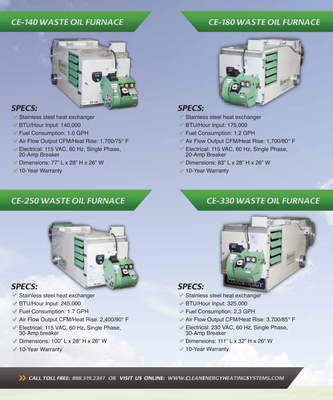### **CE-140 WASTE OIL FURNACE**

### **CE-180 WASTE OIL FURNACE**



### **SPECS:**

- Stainless steel heat exchanger
- BTU/Hour Input: 140,000
- Fuel Consumption: 1.0 GPH
- Air Flow Output CFM/Heat Rise: 1,700/75° F
- Electrical: 115 VAC, 60 Hz, Single Phase, 20-Amp Breaker
- Dimensions: 77" L x 28" H x 26" W
- **10-Year Warranty**

# **CE-250 WASTE OIL FURNACE**



### **SPECS:**

- Stainless steel heat exchanger
- BTU/Hour Input: 245,000
- Fuel Consumption: 1.7 GPH
- Air Flow Output CFM/Heat Rise: 2,400/90° F
- Electrical: 115 VAC, 60 Hz, Single Phase, 30-Amp breaker
- Dimensions: 100" L x 28" H x 26" W
- ◆ 10-Year Warranty



### **SPECS:**

- Stainless steel heat exchanger
- BTU/Hour Input: 175,000
- Fuel Consumption: 1.2 GPH
- Air Flow Output CFM/Heat Rise: 1,700/80° F
- Electrical: 115 VAC, 60 Hz, Single Phase, 20-Amp Breaker
- Dimensions: 83" L x 28" H x 26" W
- ◆ 10-Year Warranty

# **CE-330 WASTE OIL FURNACE**



### **SPECS:**

- Stainless steel heat exchanger
- BTU/Hour Input: 325,000
- Fuel Consumption: 2.3 GPH
- Air Flow Output CFM/Heat Rise: 3,700/85° F
- Electrical: 230 VAC, 60 Hz, Single Phase, 30-Amp Breaker
- $\blacktriangleright$  Dimensions: 111" L x 32" H x 26" W
- ◆ 10-Year Warranty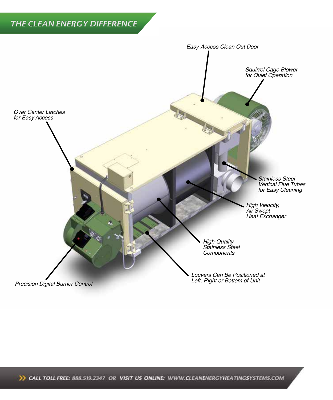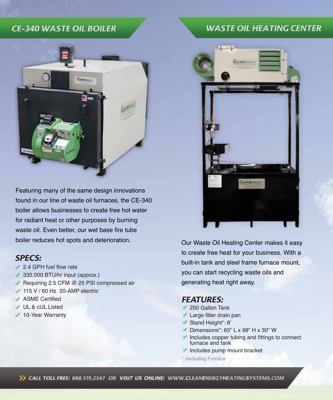# **CE-340 WASTE OIL BOILER**



Featuring many of the same design innovations found in our line of waste oil furnaces, the CE-340 boiler allows businesses to create free hot water for radiant heat or other purposes by burning waste oil. Even better, our wet base fire tube boiler reduces hot spots and deterioration.

### **SPECS:**

- 2.4 GPH fuel flow rate
- $\sqrt{335,000}$  BTU/hr input (approx.)
- Requiring 2.5 CFM  $@$  25 PSI compressed air
- $\sqrt{115 V / 60 Hz}$  20-AMP electric
- **ASME** Certified
- UL & cUL Listed
- ◆ 10-Year Warranty

# **WASTE OIL HEATING CENTER**



Our Waste Oil Heating Center makes it easy to create free heat for your business. With a built-in tank and steel frame furnace mount, you can start recycling waste oils and generating heat right away.

### **FEATURES:**

- ◆ 250 Gallon Tank
- **Large filter drain pan**
- Stand Height\*: 8'
- Dimensions\*: 65" L x 98" H x 30" W
- $\blacktriangleright$  Includes copper tubing and fittings to connect furnace and tank
- $\blacktriangleright$  Includes pump mount bracket

\* excluding Furnace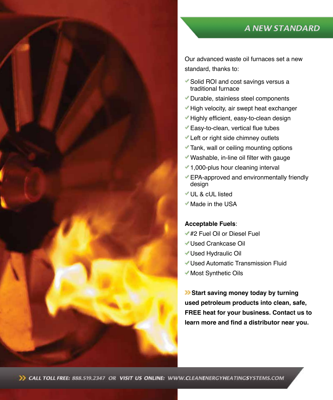# **A NEW STANDARD**

Our advanced waste oil furnaces set a new standard, thanks to:

- Solid ROI and cost savings versus a traditional furnace
- Durable, stainless steel components
- High velocity, air swept heat exchanger
- Highly efficient, easy-to-clean design
- Easy-to-clean, vertical flue tubes
- Left or right side chimney outlets
- Tank, wall or ceiling mounting options
- Washable, in-line oil filter with gauge
- 1,000-plus hour cleaning interval
- EPA-approved and environmentally friendly design
- UL & cUL listed
- Made in the USA

#### **Acceptable Fuels**:

- #2 Fuel Oil or Diesel Fuel
- Used Crankcase Oil
- Used Hydraulic Oil
- Used Automatic Transmission Fluid
- Most Synthetic Oils

**Start saving money today by turning used petroleum products into clean, safe, FREE heat for your business. Contact us to learn more and find a distributor near you.**